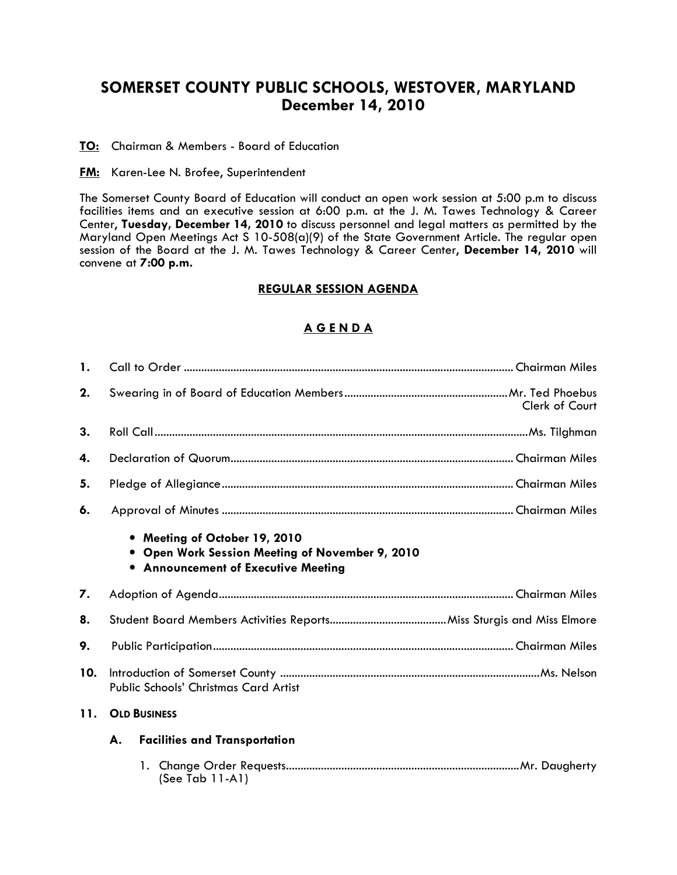# SOMERSET COUNTY PUBLIC SCHOOLS, WESTOVER, MARYLAND December 14, 2010

TO: Chairman & Members - Board of Education

**FM:** Karen-Lee N. Brofee, Superintendent

The Somerset County Board of Education will conduct an open work session at 5:00 p.m to discuss facilities items and an executive session at 6:00 p.m. at the J. M. Tawes Technology & Career Center, Tuesday, December 14, 2010 to discuss personnel and legal matters as permitted by the Maryland Open Meetings Act S 10-508(a)(9) of the State Government Article. The regular open session of the Board at the J. M. Tawes Technology & Career Center, December 14, 2010 will convene at 7:00 p.m.

#### REGULAR SESSION AGENDA

## A G E N D A

| 1.  |                                                                                                                       |  |  |  |  |
|-----|-----------------------------------------------------------------------------------------------------------------------|--|--|--|--|
| 2.  | Clerk of Court                                                                                                        |  |  |  |  |
| 3.  |                                                                                                                       |  |  |  |  |
| 4.  |                                                                                                                       |  |  |  |  |
| 5.  |                                                                                                                       |  |  |  |  |
| 6.  |                                                                                                                       |  |  |  |  |
|     | • Meeting of October 19, 2010<br>Open Work Session Meeting of November 9, 2010<br>• Announcement of Executive Meeting |  |  |  |  |
| 7.  |                                                                                                                       |  |  |  |  |
| 8.  |                                                                                                                       |  |  |  |  |
| 9.  |                                                                                                                       |  |  |  |  |
| 10. | Public Schools' Christmas Card Artist                                                                                 |  |  |  |  |
| 11. | <b>OLD BUSINESS</b>                                                                                                   |  |  |  |  |
|     | А.<br><b>Facilities and Transportation</b>                                                                            |  |  |  |  |
|     | $(See Tab 11-A1)$                                                                                                     |  |  |  |  |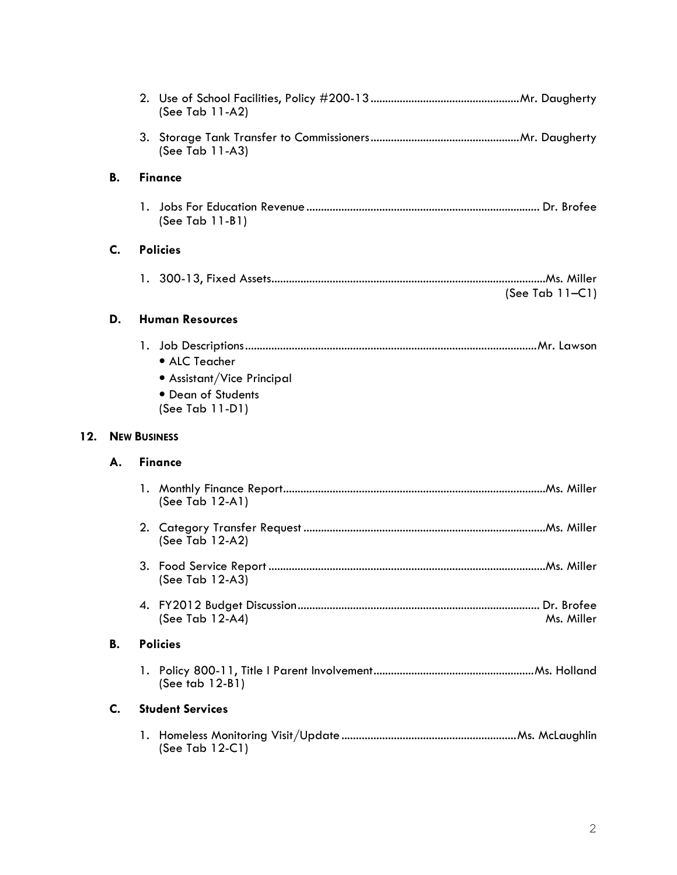|     |                     |                | (See Tab 11-A2)                                                                      |                    |
|-----|---------------------|----------------|--------------------------------------------------------------------------------------|--------------------|
|     |                     |                | (See Tab 11-A3)                                                                      |                    |
|     | В.                  |                | <b>Finance</b>                                                                       |                    |
|     |                     |                | (See Tab 11-B1)                                                                      |                    |
|     | C.                  |                | <b>Policies</b>                                                                      |                    |
|     |                     |                |                                                                                      | (See Tab $11-Cl$ ) |
|     | D.                  |                | <b>Human Resources</b>                                                               |                    |
|     |                     |                | • ALC Teacher<br>• Assistant/Vice Principal<br>• Dean of Students<br>(See Tab 11-D1) |                    |
| 12. | <b>NEW BUSINESS</b> |                |                                                                                      |                    |
|     |                     | <b>Finance</b> |                                                                                      |                    |
|     | А.                  |                |                                                                                      |                    |
|     |                     |                | (See Tab $12-A1$ )                                                                   |                    |
|     |                     |                | (See Tab 12-A2)                                                                      |                    |
|     |                     |                | (See Tab 12-A3)                                                                      |                    |
|     |                     |                | (See Tab 12-A4)                                                                      | Ms. Miller         |
|     | <b>B.</b>           |                | <b>Policies</b>                                                                      |                    |
|     |                     |                | (See tab $12-B1$ )                                                                   |                    |
|     | C.                  |                | <b>Student Services</b>                                                              |                    |

 $12.$